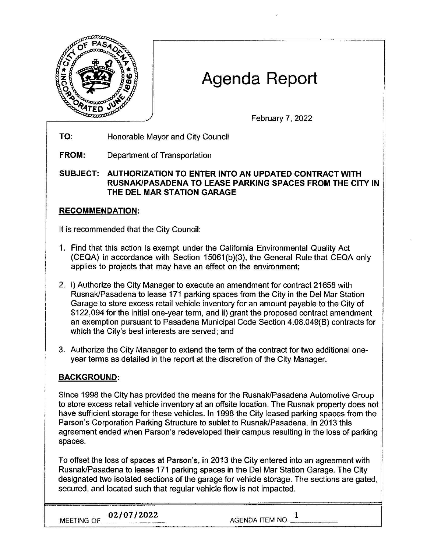

# Agenda Report

February 7, 2022

- **TO:**  Honorable Mayor and City Council
- **FROM:**  Department of Transportation

**SUBJECT: AUTHORIZATION TO ENTER INTO AN UPDATED CONTRACT WITH RUSNAK/PASADENA TO LEASE PARKING SPACES FROM THE CITY IN THE DEL MAR STATION GARAGE** 

### **RECOMMENDATION:**

It is recommended that the City Council:

- 1. Find that this action is exempt under the California Environmental Quality Act (CEQA) in accordance with Section 15061(b)(3), the General Rule that CEQA only applies to projects that may have an effect on the environment;
- 2. i) Authorize the City Manager to execute an amendment for contract 21658 with Rusnak/Pasadena to lease 171 parking spaces from the City in the Del Mar Station Garage to store excess retail vehicle inventory for an amount payable to the City of \$122,094 for the initial one-year term, and ii) grant the proposed contract amendment an exemption pursuant to Pasadena Municipal Code Section 4.08.049(8) contracts for which the City's best interests are served; and
- 3. Authorize the City Manager to extend the term of the contract for two additional oneyear terms as detailed in the report at the discretion of the City Manager.

## **BACKGROUND:**

Since 1998 the City has provided the means for the Rusnak/Pasadena Automotive Group to store excess retail vehicle inventory at an offsite location. The Rusnak property does not have sufficient storage for these vehicles. In 1998 the City leased parking spaces from the Parson's Corporation Parking Structure to sublet to Rusnak/Pasadena. In 2013 this agreement ended when Parson's redeveloped their campus resulting in the loss of parking spaces.

To offset the loss of spaces at Parson's, in 2013 the City entered into an agreement with Rusnak/Pasadena to lease 171 parking spaces in the Del Mar Station Garage. The City designated two isolated sections of the garage for vehicle storage. The sections are gated, secured, and located such that regular vehicle flow is not impacted.